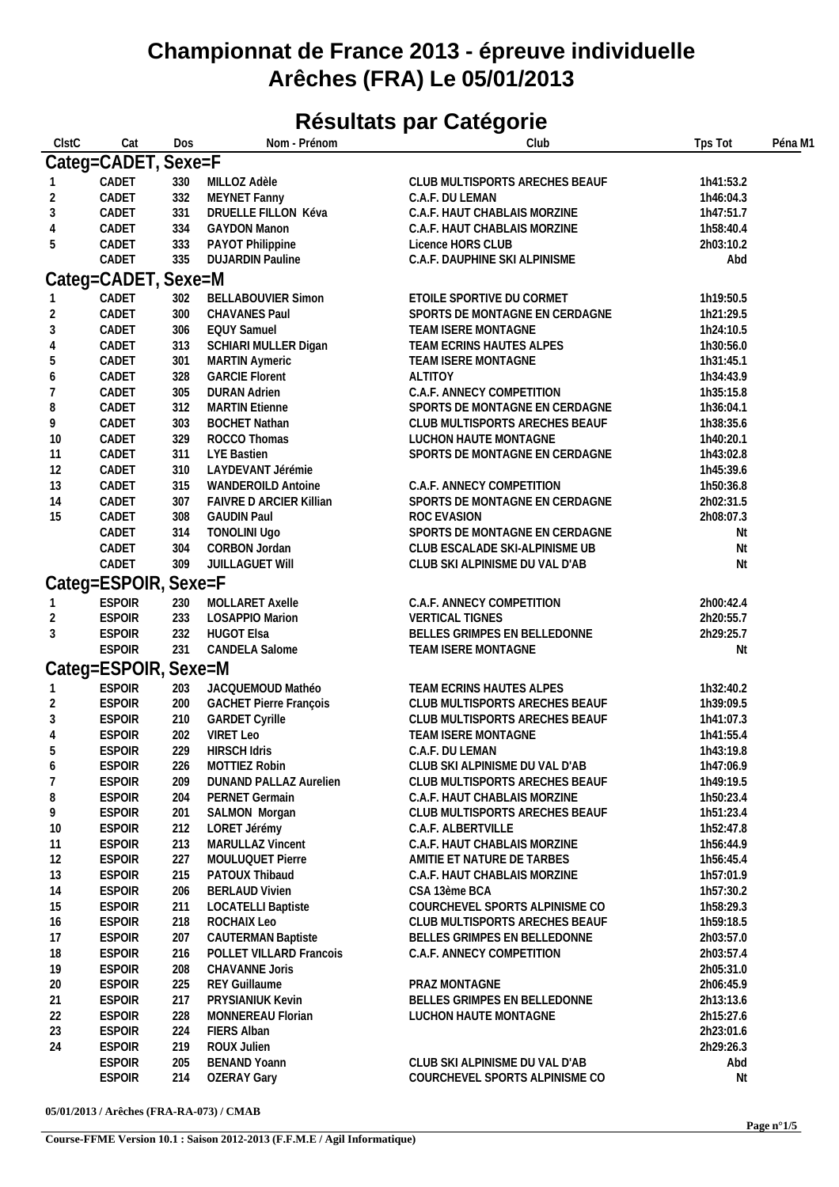## **Championnat de France 2013 - épreuve individuelle Arêches (FRA) Le 05/01/2013**

## **Résultats par Catégorie**

| ClstC          | Cat                  | Dos        | Nom - Prénom                  | Club                           | Tps Tot   | Péna M1 |
|----------------|----------------------|------------|-------------------------------|--------------------------------|-----------|---------|
|                | Categ=CADET, Sexe=F  |            |                               |                                |           |         |
|                | CADET                | 330        | MILLOZ Adèle                  | CLUB MULTISPORTS ARECHES BEAUF | 1h41:53.2 |         |
| $\overline{2}$ | CADET                | 332        | MEYNET Fanny                  | C.A.F. DU LEMAN                | 1h46:04.3 |         |
| 3              | CADET                | 331        | DRUELLE FILLON Kéva           | C.A.F. HAUT CHABLAIS MORZINE   | 1h47:51.7 |         |
| 4              | CADET                | 334        | <b>GAYDON Manon</b>           | C.A.F. HAUT CHABLAIS MORZINE   | 1h58:40.4 |         |
|                | CADET                |            |                               |                                |           |         |
| 5              |                      | 333<br>335 | PAYOT Philippine              | Licence HORS CLUB              | 2h03:10.2 |         |
|                | CADET                |            | <b>DUJARDIN Pauline</b>       | C.A.F. DAUPHINE SKI ALPINISME  | Abd       |         |
|                | Categ=CADET, Sexe=M  |            |                               |                                |           |         |
|                | CADET                | 302        | <b>BELLABOUVIER Simon</b>     | ETOILE SPORTIVE DU CORMET      | 1h19:50.5 |         |
| $\overline{2}$ | CADET                | 300        | CHAVANES Paul                 | SPORTS DE MONTAGNE EN CERDAGNE | 1h21:29.5 |         |
| 3              | CADET                | 306        | <b>EQUY Samuel</b>            | TEAM ISERE MONTAGNE            | 1h24:10.5 |         |
| 4              | CADET                | 313        | SCHIARI MULLER Digan          | TEAM ECRINS HAUTES ALPES       | 1h30:56.0 |         |
| 5              | CADET                | 301        | <b>MARTIN Aymeric</b>         | TEAM ISERE MONTAGNE            | 1h31:45.1 |         |
| 6              | CADET                | 328        | <b>GARCIE Florent</b>         | ALTITOY                        | 1h34:43.9 |         |
| 7              | CADET                | 305        | <b>DURAN Adrien</b>           | C.A.F. ANNECY COMPETITION      | 1h35:15.8 |         |
| $\, 8$         | CADET                | 312        | <b>MARTIN Etienne</b>         | SPORTS DE MONTAGNE EN CERDAGNE | 1h36:04.1 |         |
| 9              | CADET                | 303        | <b>BOCHET Nathan</b>          | CLUB MULTISPORTS ARECHES BEAUF | 1h38:35.6 |         |
| 10             | CADET                | 329        | ROCCO Thomas                  | LUCHON HAUTE MONTAGNE          | 1h40:20.1 |         |
| 11             | CADET                | 311        | LYE Bastien                   | SPORTS DE MONTAGNE EN CERDAGNE | 1h43:02.8 |         |
|                | CADET                | 310        | LAYDEVANT Jérémie             |                                | 1h45:39.6 |         |
| 12             |                      |            |                               |                                |           |         |
| 13             | CADET                | 315        | <b>WANDEROILD Antoine</b>     | C.A.F. ANNECY COMPETITION      | 1h50:36.8 |         |
| 14             | CADET                | 307        | FAIVRE D ARCIER Killian       | SPORTS DE MONTAGNE EN CERDAGNE | 2h02:31.5 |         |
| 15             | CADET                | 308        | <b>GAUDIN Paul</b>            | ROC EVASION                    | 2h08:07.3 |         |
|                | CADET                | 314        | <b>TONOLINI Ugo</b>           | SPORTS DE MONTAGNE EN CERDAGNE | Nt        |         |
|                | CADET                | 304        | CORBON Jordan                 | CLUB ESCALADE SKI-ALPINISME UB | Nt        |         |
|                | CADET                | 309        | JUILLAGUET WIII               | CLUB SKI ALPINISME DU VAL D'AB | Nt        |         |
|                | Categ=ESPOIR, Sexe=F |            |                               |                                |           |         |
|                | <b>ESPOIR</b>        | 230        | MOLLARET Axelle               | C.A.F. ANNECY COMPETITION      | 2h00:42.4 |         |
| 2              | <b>ESPOIR</b>        | 233        | LOSAPPIO Marion               | <b>VERTICAL TIGNES</b>         | 2h20:55.7 |         |
| 3              | <b>ESPOIR</b>        | 232        | <b>HUGOT EIsa</b>             | BELLES GRIMPES EN BELLEDONNE   | 2h29:25.7 |         |
|                | <b>ESPOIR</b>        | 231        | CANDELA Salome                | TEAM ISERE MONTAGNE            | Nt        |         |
|                |                      |            |                               |                                |           |         |
|                | Categ=ESPOIR, Sexe=M |            |                               |                                |           |         |
|                | <b>ESPOIR</b>        | 203        | JACQUEMOUD Mathéo             | TEAM ECRINS HAUTES ALPES       | 1h32:40.2 |         |
| $\overline{2}$ | <b>ESPOIR</b>        | 200        | <b>GACHET Pierre François</b> | CLUB MULTISPORTS ARECHES BEAUF | 1h39:09.5 |         |
| 3              | <b>ESPOIR</b>        | 210        | <b>GARDET Cyrille</b>         | CLUB MULTISPORTS ARECHES BEAUF | 1h41:07.3 |         |
| 4              | <b>ESPOIR</b>        | 202        | <b>VIRET Leo</b>              | TEAM ISERE MONTAGNE            | 1h41:55.4 |         |
| 5              | <b>ESPOIR</b>        | 229        | <b>HIRSCH Idris</b>           | C.A.F. DU LEMAN                | 1h43:19.8 |         |
| 6              | <b>ESPOIR</b>        | 226        | MOTTIEZ Robin                 | CLUB SKI ALPINISME DU VAL D'AB | 1h47:06.9 |         |
| 7              | <b>ESPOIR</b>        | 209        | <b>DUNAND PALLAZ Aurelien</b> | CLUB MULTISPORTS ARECHES BEAUF | 1h49:19.5 |         |
| 8              | <b>ESPOIR</b>        | 204        | PERNET Germain                | C.A.F. HAUT CHABLAIS MORZINE   | 1h50:23.4 |         |
| 9              | <b>ESPOIR</b>        | 201        | SALMON Morgan                 | CLUB MULTISPORTS ARECHES BEAUF | 1h51:23.4 |         |
| 10             | <b>ESPOIR</b>        | 212        | LORET Jérémy                  | C.A.F. ALBERTVILLE             | 1h52:47.8 |         |
| 11             | <b>ESPOIR</b>        | 213        | MARULLAZ Vincent              | C.A.F. HAUT CHABLAIS MORZINE   | 1h56:44.9 |         |
| 12             | <b>ESPOIR</b>        | 227        | MOULUQUET Pierre              | AMITIE ET NATURE DE TARBES     | 1h56:45.4 |         |
| 13             | <b>ESPOIR</b>        | 215        | PATOUX Thibaud                | C.A.F. HAUT CHABLAIS MORZINE   | 1h57:01.9 |         |
| 14             | <b>ESPOIR</b>        | 206        | <b>BERLAUD Vivien</b>         | CSA 13ème BCA                  | 1h57:30.2 |         |
| 15             | <b>ESPOIR</b>        | 211        | <b>LOCATELLI Baptiste</b>     | COURCHEVEL SPORTS ALPINISME CO | 1h58:29.3 |         |
| 16             | <b>ESPOIR</b>        | 218        | ROCHAIX Leo                   | CLUB MULTISPORTS ARECHES BEAUF | 1h59:18.5 |         |
|                |                      |            |                               |                                |           |         |
| 17             | <b>ESPOIR</b>        | 207        | <b>CAUTERMAN Baptiste</b>     | BELLES GRIMPES EN BELLEDONNE   | 2h03:57.0 |         |
| 18             | <b>ESPOIR</b>        | 216        | POLLET VILLARD Francois       | C.A.F. ANNECY COMPETITION      | 2h03:57.4 |         |
| 19             | <b>ESPOIR</b>        | 208        | CHAVANNE Joris                |                                | 2h05:31.0 |         |
| 20             | <b>ESPOIR</b>        | 225        | <b>REY Guillaume</b>          | PRAZ MONTAGNE                  | 2h06:45.9 |         |
| 21             | <b>ESPOIR</b>        | 217        | PRYSIANIUK Kevin              | BELLES GRIMPES EN BELLEDONNE   | 2h13:13.6 |         |
| 22             | <b>ESPOIR</b>        | 228        | MONNEREAU Florian             | LUCHON HAUTE MONTAGNE          | 2h15:27.6 |         |
| 23             | <b>ESPOIR</b>        | 224        | <b>FIERS Alban</b>            |                                | 2h23:01.6 |         |
| 24             | <b>ESPOIR</b>        | 219        | ROUX Julien                   |                                | 2h29:26.3 |         |
|                | <b>ESPOIR</b>        | 205        | <b>BENAND Yoann</b>           | CLUB SKI ALPINISME DU VAL D'AB | Abd       |         |
|                | <b>ESPOIR</b>        | 214        | <b>OZERAY Gary</b>            | COURCHEVEL SPORTS ALPINISME CO | Nt        |         |
|                |                      |            |                               |                                |           |         |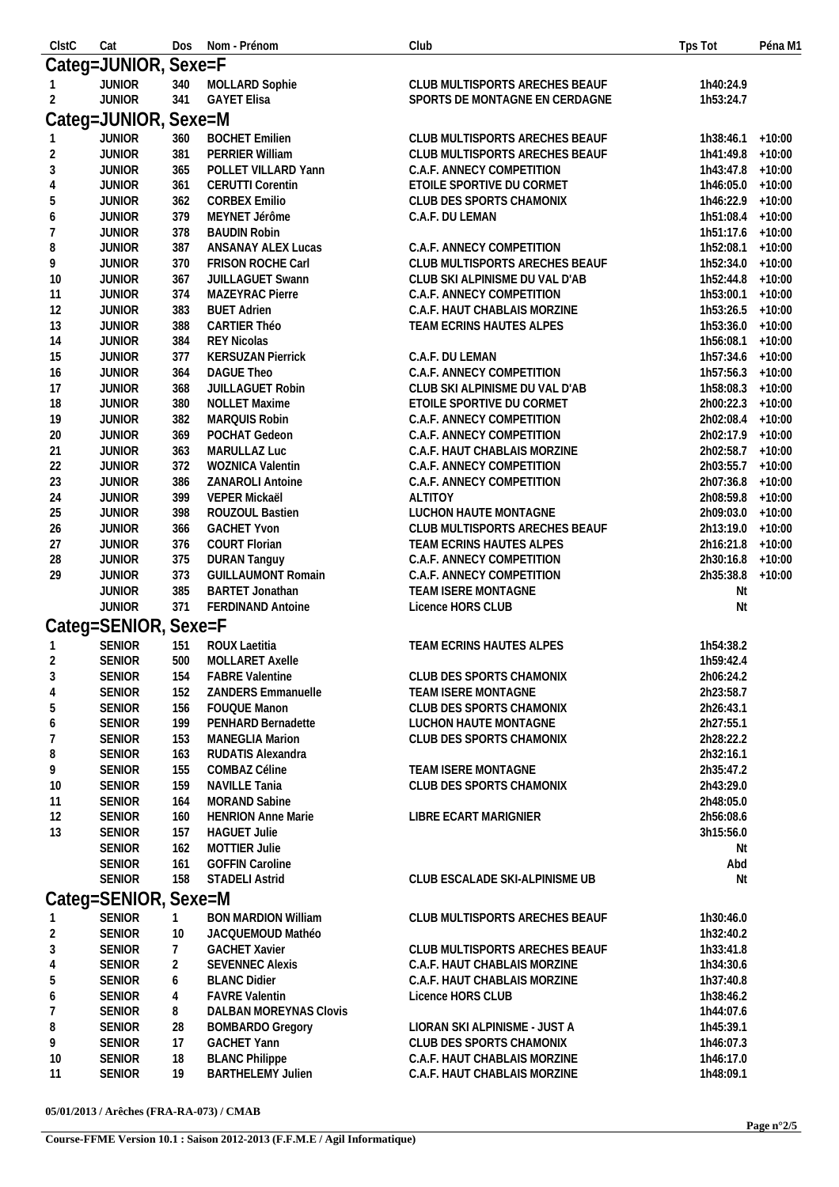| ClstC            | Cat                  | <b>Dos</b>   | Nom - Prénom               | Club                           | Tps Tot             | Péna M1  |
|------------------|----------------------|--------------|----------------------------|--------------------------------|---------------------|----------|
|                  | Categ=JUNIOR, Sexe=F |              |                            |                                |                     |          |
|                  | <b>JUNIOR</b>        | 340          | MOLLARD Sophie             | CLUB MULTISPORTS ARECHES BEAUF | 1h40:24.9           |          |
| $\overline{2}$   | <b>JUNIOR</b>        | 341          | <b>GAYET Elisa</b>         | SPORTS DE MONTAGNE EN CERDAGNE | 1h53:24.7           |          |
|                  |                      |              |                            |                                |                     |          |
|                  | Categ=JUNIOR, Sexe=M |              |                            |                                |                     |          |
|                  | <b>JUNIOR</b>        | 360          | <b>BOCHET Emilien</b>      | CLUB MULTISPORTS ARECHES BEAUF | $1h38:46.1 + 10:00$ |          |
| $\overline{2}$   | <b>JUNIOR</b>        | 381          | PERRIER William            | CLUB MULTISPORTS ARECHES BEAUF | 1h41:49.8 +10:00    |          |
| $\mathfrak{Z}$   | <b>JUNIOR</b>        | 365          | POLLET VILLARD Yann        | C.A.F. ANNECY COMPETITION      | 1h43:47.8 +10:00    |          |
| $\overline{4}$   | <b>JUNIOR</b>        | 361          | <b>CERUTTI Corentin</b>    | ETOILE SPORTIVE DU CORMET      | 1h46:05.0 +10:00    |          |
| 5                | <b>JUNIOR</b>        | 362          | <b>CORBEX Emilio</b>       | CLUB DES SPORTS CHAMONIX       | 1h46:22.9 +10:00    |          |
| $\boldsymbol{6}$ | <b>JUNIOR</b>        | 379          | MEYNET Jérôme              | C.A.F. DU LEMAN                | 1h51:08.4           | $+10:00$ |
| 7                | <b>JUNIOR</b>        | 378          | <b>BAUDIN Robin</b>        |                                | 1h51:17.6 +10:00    |          |
| 8                | <b>JUNIOR</b>        | 387          | ANSANAY ALEX Lucas         | C.A.F. ANNECY COMPETITION      | 1h52:08.1 +10:00    |          |
| 9                | <b>JUNIOR</b>        | 370          | FRISON ROCHE Carl          | CLUB MULTISPORTS ARECHES BEAUF | 1h52:34.0 +10:00    |          |
| 10               | <b>JUNIOR</b>        | 367          | JUILLAGUET Swann           | CLUB SKI ALPINISME DU VAL D'AB | 1h52:44.8 +10:00    |          |
| 11               | <b>JUNIOR</b>        | 374          | MAZEYRAC Pierre            | C.A.F. ANNECY COMPETITION      | 1h53:00.1 +10:00    |          |
| 12               | <b>JUNIOR</b>        | 383          | <b>BUET Adrien</b>         | C.A.F. HAUT CHABLAIS MORZINE   | 1h53:26.5 +10:00    |          |
| 13               | <b>JUNIOR</b>        | 388          | <b>CARTIER Théo</b>        | TEAM ECRINS HAUTES ALPES       | 1h53:36.0 +10:00    |          |
|                  | <b>JUNIOR</b>        |              | <b>REY Nicolas</b>         |                                | 1h56:08.1 +10:00    |          |
| 14               |                      | 384          |                            |                                |                     |          |
| 15               | <b>JUNIOR</b>        | 377          | <b>KERSUZAN Pierrick</b>   | C.A.F. DU LEMAN                | 1h57:34.6 +10:00    |          |
| 16               | <b>JUNIOR</b>        | 364          | <b>DAGUE Theo</b>          | C.A.F. ANNECY COMPETITION      | 1h57:56.3 +10:00    |          |
| 17               | <b>JUNIOR</b>        | 368          | JUILLAGUET Robin           | CLUB SKI ALPINISME DU VAL D'AB | 1h58:08.3 +10:00    |          |
| 18               | <b>JUNIOR</b>        | 380          | <b>NOLLET Maxime</b>       | ETOILE SPORTIVE DU CORMET      | 2h00:22.3 +10:00    |          |
| 19               | <b>JUNIOR</b>        | 382          | MARQUIS Robin              | C.A.F. ANNECY COMPETITION      | 2h02:08.4           | $+10:00$ |
| 20               | <b>JUNIOR</b>        | 369          | POCHAT Gedeon              | C.A.F. ANNECY COMPETITION      | 2h02:17.9 +10:00    |          |
| 21               | <b>JUNIOR</b>        | 363          | MARULLAZ Luc               | C.A.F. HAUT CHABLAIS MORZINE   | 2h02:58.7 +10:00    |          |
| 22               | <b>JUNIOR</b>        | 372          | WOZNICA Valentin           | C.A.F. ANNECY COMPETITION      | 2h03:55.7 +10:00    |          |
| 23               | <b>JUNIOR</b>        | 386          | ZANAROLI Antoine           | C.A.F. ANNECY COMPETITION      | 2h07:36.8 +10:00    |          |
| 24               | <b>JUNIOR</b>        | 399          | VEPER Mickaël              | ALTITOY                        | 2h08:59.8 +10:00    |          |
| 25               | <b>JUNIOR</b>        | 398          | ROUZOUL Bastien            | LUCHON HAUTE MONTAGNE          | 2h09:03.0 +10:00    |          |
| 26               | <b>JUNIOR</b>        | 366          | <b>GACHET Yvon</b>         | CLUB MULTISPORTS ARECHES BEAUF | 2h13:19.0 +10:00    |          |
| 27               | <b>JUNIOR</b>        | 376          | <b>COURT Florian</b>       | TEAM ECRINS HAUTES ALPES       | 2h16:21.8 +10:00    |          |
| 28               | <b>JUNIOR</b>        | 375          | <b>DURAN Tanguy</b>        | C.A.F. ANNECY COMPETITION      | 2h30:16.8 +10:00    |          |
| 29               | <b>JUNIOR</b>        | 373          | <b>GUILLAUMONT Romain</b>  | C.A.F. ANNECY COMPETITION      | 2h35:38.8 +10:00    |          |
|                  | <b>JUNIOR</b>        | 385          | <b>BARTET Jonathan</b>     | TEAM ISERE MONTAGNE            | Nt                  |          |
|                  | <b>JUNIOR</b>        | 371          | FERDINAND Antoine          | Licence HORS CLUB              | Nt                  |          |
|                  |                      |              |                            |                                |                     |          |
|                  | Categ=SENIOR, Sexe=F |              |                            |                                |                     |          |
|                  | <b>SENIOR</b>        | 151          | <b>ROUX Laetitia</b>       | TEAM ECRINS HAUTES ALPES       | 1h54:38.2           |          |
| 2                | SENIOR               | 500          | MOLLARET Axelle            |                                | 1h59:42.4           |          |
| 3                | <b>SENIOR</b>        | 154          | <b>FABRE Valentine</b>     | CLUB DES SPORTS CHAMONIX       | 2h06:24.2           |          |
| 4                | <b>SENIOR</b>        | 152          | <b>ZANDERS Emmanuelle</b>  | TEAM ISERE MONTAGNE            | 2h23:58.7           |          |
| 5                | <b>SENIOR</b>        | 156          | FOUQUE Manon               | CLUB DES SPORTS CHAMONIX       | 2h26:43.1           |          |
| 6                | <b>SENIOR</b>        | 199          | PENHARD Bernadette         | LUCHON HAUTE MONTAGNE          | 2h27:55.1           |          |
| 7                | <b>SENIOR</b>        | 153          | <b>MANEGLIA Marion</b>     | CLUB DES SPORTS CHAMONIX       | 2h28:22.2           |          |
| 8                | <b>SENIOR</b>        | 163          | RUDATIS Alexandra          |                                | 2h32:16.1           |          |
|                  |                      |              |                            |                                |                     |          |
| 9                | <b>SENIOR</b>        | 155          | COMBAZ Céline              | TEAM ISERE MONTAGNE            | 2h35:47.2           |          |
| 10               | <b>SENIOR</b>        | 159          | NAVILLE Tania              | CLUB DES SPORTS CHAMONIX       | 2h43:29.0           |          |
| 11               | <b>SENIOR</b>        | 164          | MORAND Sabine              |                                | 2h48:05.0           |          |
| 12               | <b>SENIOR</b>        | 160          | <b>HENRION Anne Marie</b>  | LIBRE ECART MARIGNIER          | 2h56:08.6           |          |
| 13               | <b>SENIOR</b>        | 157          | <b>HAGUET Julie</b>        |                                | 3h15:56.0           |          |
|                  | <b>SENIOR</b>        | 162          | <b>MOTTIER Julie</b>       |                                | Nt                  |          |
|                  | <b>SENIOR</b>        | 161          | <b>GOFFIN Caroline</b>     |                                | Abd                 |          |
|                  | <b>SENIOR</b>        | 158          | <b>STADELI Astrid</b>      | CLUB ESCALADE SKI-ALPINISME UB | Nt                  |          |
|                  | Categ=SENIOR, Sexe=M |              |                            |                                |                     |          |
|                  |                      |              |                            |                                |                     |          |
|                  | <b>SENIOR</b>        | $\mathbf{1}$ | <b>BON MARDION William</b> | CLUB MULTISPORTS ARECHES BEAUF | 1h30:46.0           |          |
| $\overline{2}$   | <b>SENIOR</b>        | 10           | JACQUEMOUD Mathéo          |                                | 1h32:40.2           |          |
| 3                | <b>SENIOR</b>        | 7            | <b>GACHET Xavier</b>       | CLUB MULTISPORTS ARECHES BEAUF | 1h33:41.8           |          |
| 4                | <b>SENIOR</b>        | 2            | <b>SEVENNEC Alexis</b>     | C.A.F. HAUT CHABLAIS MORZINE   | 1h34:30.6           |          |
| 5                | <b>SENIOR</b>        | 6            | <b>BLANC Didier</b>        | C.A.F. HAUT CHABLAIS MORZINE   | 1h37:40.8           |          |
| 6                | <b>SENIOR</b>        | 4            | <b>FAVRE Valentin</b>      | Licence HORS CLUB              | 1h38:46.2           |          |
| $\overline{7}$   | <b>SENIOR</b>        | 8            | DALBAN MOREYNAS Clovis     |                                | 1h44:07.6           |          |
| 8                | <b>SENIOR</b>        | 28           | <b>BOMBARDO Gregory</b>    | LIORAN SKI ALPINISME - JUST A  | 1h45:39.1           |          |
| 9                | <b>SENIOR</b>        | 17           | <b>GACHET Yann</b>         | CLUB DES SPORTS CHAMONIX       | 1h46:07.3           |          |
| 10               | <b>SENIOR</b>        | 18           | <b>BLANC Philippe</b>      | C.A.F. HAUT CHABLAIS MORZINE   | 1h46:17.0           |          |
| 11               | <b>SENIOR</b>        | 19           | <b>BARTHELEMY Julien</b>   | C.A.F. HAUT CHABLAIS MORZINE   | 1h48:09.1           |          |
|                  |                      |              |                            |                                |                     |          |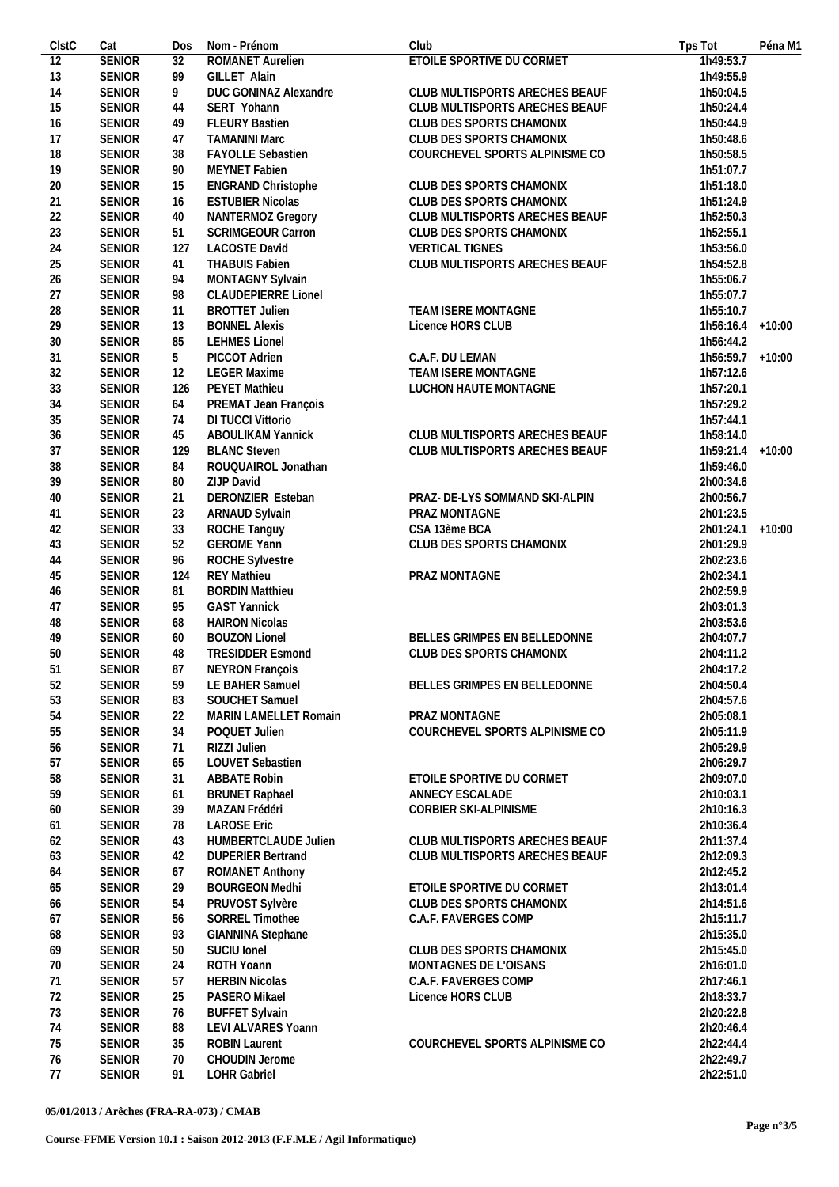| ClstC           | Cat           | Dos | Nom - Prénom                                  | Club                           | Tps Tot          | Péna M1 |
|-----------------|---------------|-----|-----------------------------------------------|--------------------------------|------------------|---------|
| $\overline{12}$ | <b>SENIOR</b> | 32  | ROMANET Aurelien                              | ETOILE SPORTIVE DU CORMET      | 1h49:53.7        |         |
| 13              | <b>SENIOR</b> | 99  | GILLET Alain                                  |                                | 1h49:55.9        |         |
| 14              | <b>SENIOR</b> | 9   | DUC GONINAZ Alexandre                         | CLUB MULTISPORTS ARECHES BEAUF | 1h50:04.5        |         |
| 15              | <b>SENIOR</b> | 44  | SERT Yohann                                   | CLUB MULTISPORTS ARECHES BEAUF | 1h50:24.4        |         |
| 16              | <b>SENIOR</b> | 49  | <b>FLEURY Bastien</b>                         | CLUB DES SPORTS CHAMONIX       | 1h50:44.9        |         |
| 17              | <b>SENIOR</b> | 47  | <b>TAMANINI Marc</b>                          | CLUB DES SPORTS CHAMONIX       | 1h50:48.6        |         |
| 18              | <b>SENIOR</b> | 38  | <b>FAYOLLE Sebastien</b>                      | COURCHEVEL SPORTS ALPINISME CO | 1h50:58.5        |         |
| 19              | <b>SENIOR</b> | 90  | MEYNET Fabien                                 |                                | 1h51:07.7        |         |
| 20              | <b>SENIOR</b> |     |                                               |                                | 1h51:18.0        |         |
|                 |               | 15  | ENGRAND Christophe<br><b>ESTUBIER Nicolas</b> | CLUB DES SPORTS CHAMONIX       |                  |         |
| 21              | <b>SENIOR</b> | 16  |                                               | CLUB DES SPORTS CHAMONIX       | 1h51:24.9        |         |
| 22              | <b>SENIOR</b> | 40  | NANTERMOZ Gregory                             | CLUB MULTISPORTS ARECHES BEAUF | 1h52:50.3        |         |
| 23              | <b>SENIOR</b> | 51  | SCRIMGEOUR Carron                             | CLUB DES SPORTS CHAMONIX       | 1h52:55.1        |         |
| 24              | <b>SENIOR</b> | 127 | <b>LACOSTE David</b>                          | <b>VERTICAL TIGNES</b>         | 1h53:56.0        |         |
| 25              | <b>SENIOR</b> | 41  | <b>THABUIS Fabien</b>                         | CLUB MULTISPORTS ARECHES BEAUF | 1h54:52.8        |         |
| 26              | <b>SENIOR</b> | 94  | MONTAGNY Sylvain                              |                                | 1h55:06.7        |         |
| 27              | <b>SENIOR</b> | 98  | <b>CLAUDEPIERRE Lionel</b>                    |                                | 1h55:07.7        |         |
| 28              | <b>SENIOR</b> | 11  | <b>BROTTET Julien</b>                         | TEAM ISERE MONTAGNE            | 1h55:10.7        |         |
| 29              | <b>SENIOR</b> | 13  | <b>BONNEL Alexis</b>                          | Licence HORS CLUB              | 1h56:16.4 +10:00 |         |
| $30\,$          | <b>SENIOR</b> | 85  | <b>LEHMES Lionel</b>                          |                                | 1h56:44.2        |         |
| 31              | <b>SENIOR</b> | 5   | PICCOT Adrien                                 | C.A.F. DU LEMAN                | 1h56:59.7 +10:00 |         |
| 32              | <b>SENIOR</b> | 12  | <b>LEGER Maxime</b>                           | TEAM ISERE MONTAGNE            | 1h57:12.6        |         |
| 33              | <b>SENIOR</b> | 126 | PEYET Mathieu                                 | LUCHON HAUTE MONTAGNE          | 1h57:20.1        |         |
|                 |               |     |                                               |                                |                  |         |
| 34              | <b>SENIOR</b> | 64  | PREMAT Jean François                          |                                | 1h57:29.2        |         |
| 35              | <b>SENIOR</b> | 74  | DI TUCCI Vittorio                             |                                | 1h57:44.1        |         |
| 36              | <b>SENIOR</b> | 45  | <b>ABOULIKAM Yannick</b>                      | CLUB MULTISPORTS ARECHES BEAUF | 1h58:14.0        |         |
| 37              | <b>SENIOR</b> | 129 | <b>BLANC Steven</b>                           | CLUB MULTISPORTS ARECHES BEAUF | 1h59:21.4 +10:00 |         |
| 38              | <b>SENIOR</b> | 84  | ROUQUAIROL Jonathan                           |                                | 1h59:46.0        |         |
| 39              | <b>SENIOR</b> | 80  | ZIJP David                                    |                                | 2h00:34.6        |         |
| 40              | <b>SENIOR</b> | 21  | DERONZIER Esteban                             | PRAZ- DE-LYS SOMMAND SKI-ALPIN | 2h00:56.7        |         |
| 41              | <b>SENIOR</b> | 23  | ARNAUD Sylvain                                | PRAZ MONTAGNE                  | 2h01:23.5        |         |
| 42              | <b>SENIOR</b> | 33  | ROCHE Tanguy                                  | CSA 13ème BCA                  | 2h01:24.1 +10:00 |         |
| 43              | <b>SENIOR</b> | 52  | <b>GEROME Yann</b>                            | CLUB DES SPORTS CHAMONIX       | 2h01:29.9        |         |
| 44              | <b>SENIOR</b> | 96  | ROCHE Sylvestre                               |                                | 2h02:23.6        |         |
| 45              | <b>SENIOR</b> | 124 | <b>REY Mathieu</b>                            | PRAZ MONTAGNE                  | 2h02:34.1        |         |
| 46              | <b>SENIOR</b> | 81  | <b>BORDIN Matthieu</b>                        |                                | 2h02:59.9        |         |
| 47              | <b>SENIOR</b> | 95  | <b>GAST Yannick</b>                           |                                | 2h03:01.3        |         |
| 48              | <b>SENIOR</b> | 68  | <b>HAIRON Nicolas</b>                         |                                | 2h03:53.6        |         |
|                 |               |     | <b>BOUZON Lionel</b>                          | BELLES GRIMPES EN BELLEDONNE   |                  |         |
| 49              | <b>SENIOR</b> | 60  |                                               |                                | 2h04:07.7        |         |
| 50              | <b>SENIOR</b> | 48  | <b>TRESIDDER Esmond</b>                       | CLUB DES SPORTS CHAMONIX       | 2h04:11.2        |         |
| 51              | <b>SENIOR</b> | 87  | <b>NEYRON Francois</b>                        |                                | 2h04:17.2        |         |
| 52              | <b>SENIOR</b> | 59  | LE BAHER Samuel                               | BELLES GRIMPES EN BELLEDONNE   | 2h04:50.4        |         |
| 53              | <b>SENIOR</b> | 83  | SOUCHET Samuel                                |                                | 2h04:57.6        |         |
| 54              | <b>SENIOR</b> | 22  | MARIN LAMELLET Romain                         | PRAZ MONTAGNE                  | 2h05:08.1        |         |
| 55              | <b>SENIOR</b> | 34  | POQUET Julien                                 | COURCHEVEL SPORTS ALPINISME CO | 2h05:11.9        |         |
| 56              | <b>SENIOR</b> | 71  | RIZZI Julien                                  |                                | 2h05:29.9        |         |
| 57              | <b>SENIOR</b> | 65  | LOUVET Sebastien                              |                                | 2h06:29.7        |         |
| 58              | <b>SENIOR</b> | 31  | <b>ABBATE Robin</b>                           | ETOILE SPORTIVE DU CORMET      | 2h09:07.0        |         |
| 59              | <b>SENIOR</b> | 61  | <b>BRUNET Raphael</b>                         | ANNECY ESCALADE                | 2h10:03.1        |         |
| 60              | <b>SENIOR</b> | 39  | MAZAN Frédéri                                 | CORBIER SKI-ALPINISME          | 2h10:16.3        |         |
|                 | <b>SENIOR</b> | 78  | <b>LAROSE Eric</b>                            |                                |                  |         |
| 61              |               |     |                                               |                                | 2h10:36.4        |         |
| 62              | <b>SENIOR</b> | 43  | HUMBERTCLAUDE Julien                          | CLUB MULTISPORTS ARECHES BEAUF | 2h11:37.4        |         |
| 63              | <b>SENIOR</b> | 42  | <b>DUPERIER Bertrand</b>                      | CLUB MULTISPORTS ARECHES BEAUF | 2h12:09.3        |         |
| 64              | <b>SENIOR</b> | 67  | ROMANET Anthony                               |                                | 2h12:45.2        |         |
| 65              | <b>SENIOR</b> | 29  | <b>BOURGEON Medhi</b>                         | ETOILE SPORTIVE DU CORMET      | 2h13:01.4        |         |
| 66              | <b>SENIOR</b> | 54  | PRUVOST Sylvère                               | CLUB DES SPORTS CHAMONIX       | 2h14:51.6        |         |
| 67              | <b>SENIOR</b> | 56  | SORREL Timothee                               | C.A.F. FAVERGES COMP           | 2h15:11.7        |         |
| 68              | <b>SENIOR</b> | 93  | GIANNINA Stephane                             |                                | 2h15:35.0        |         |
| 69              | <b>SENIOR</b> | 50  | SUCIU Ionel                                   | CLUB DES SPORTS CHAMONIX       | 2h15:45.0        |         |
| 70              | <b>SENIOR</b> | 24  | ROTH Yoann                                    | MONTAGNES DE L'OISANS          | 2h16:01.0        |         |
| 71              | <b>SENIOR</b> | 57  | <b>HERBIN Nicolas</b>                         | C.A.F. FAVERGES COMP           | 2h17:46.1        |         |
| 72              | <b>SENIOR</b> | 25  | PASERO Mikael                                 | Licence HORS CLUB              | 2h18:33.7        |         |
|                 |               |     |                                               |                                |                  |         |
| 73              | <b>SENIOR</b> | 76  | <b>BUFFET Sylvain</b>                         |                                | 2h20:22.8        |         |
| 74              | <b>SENIOR</b> | 88  | LEVI ALVARES Yoann                            |                                | 2h20:46.4        |         |
| 75              | <b>SENIOR</b> | 35  | <b>ROBIN Laurent</b>                          | COURCHEVEL SPORTS ALPINISME CO | 2h22:44.4        |         |
| 76              | <b>SENIOR</b> | 70  | CHOUDIN Jerome                                |                                | 2h22:49.7        |         |
| 77              | <b>SENIOR</b> | 91  | LOHR Gabriel                                  |                                | 2h22:51.0        |         |
|                 |               |     |                                               |                                |                  |         |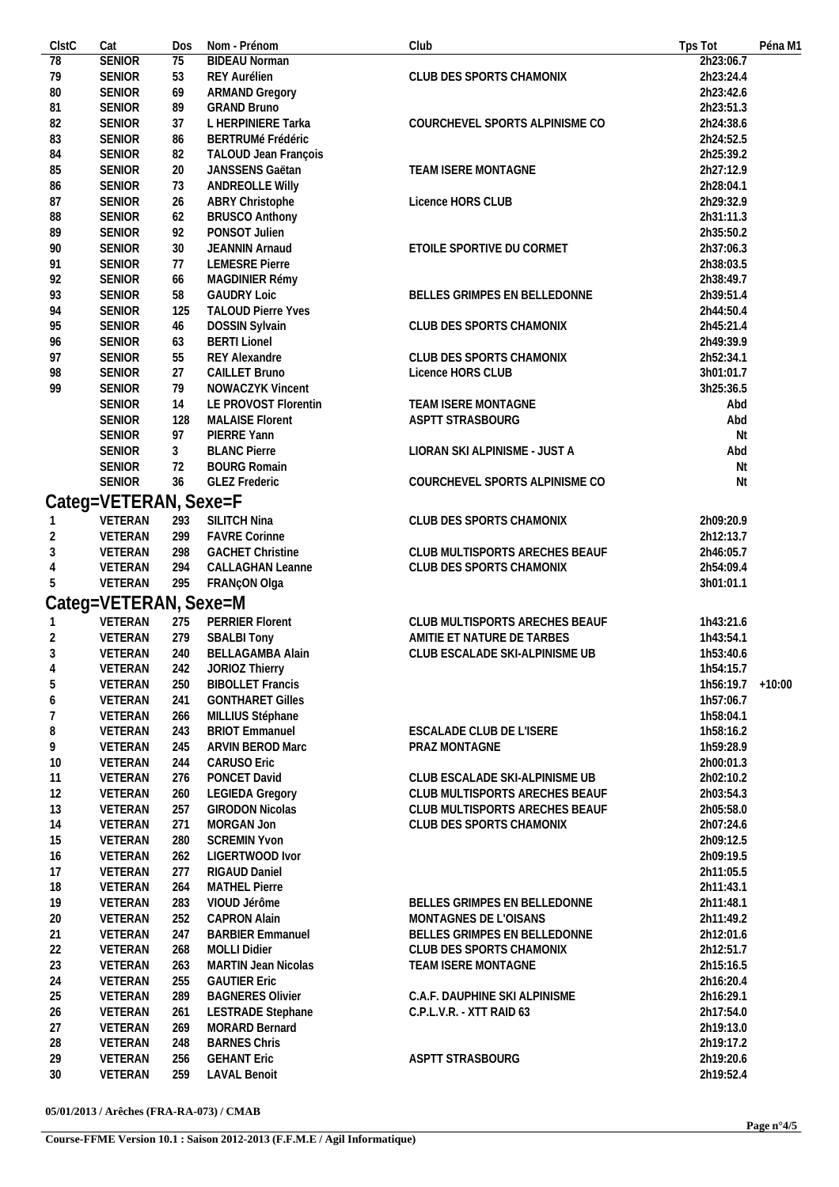| ClstC          | Cat                   | Dos | Nom - Prénom                        | Club                                                  | Tps Tot             | Péna M1 |
|----------------|-----------------------|-----|-------------------------------------|-------------------------------------------------------|---------------------|---------|
| 78             | <b>SENIOR</b>         | 75  | <b>BIDEAU Norman</b>                |                                                       | 2h23:06.7           |         |
| 79             | <b>SENIOR</b>         | 53  | REY Aurélien                        | CLUB DES SPORTS CHAMONIX                              | 2h23:24.4           |         |
| 80             | <b>SENIOR</b>         | 69  | <b>ARMAND Gregory</b>               |                                                       | 2h23:42.6           |         |
| 81             | <b>SENIOR</b>         | 89  | <b>GRAND Bruno</b>                  |                                                       | 2h23:51.3           |         |
| 82             | <b>SENIOR</b>         | 37  | L HERPINIERE Tarka                  | COURCHEVEL SPORTS ALPINISME CO                        | 2h24:38.6           |         |
| 83             | <b>SENIOR</b>         | 86  | <b>BERTRUMé Frédéric</b>            |                                                       | 2h24:52.5           |         |
| 84             | <b>SENIOR</b>         | 82  | TALOUD Jean François                |                                                       | 2h25:39.2           |         |
| 85             | <b>SENIOR</b>         | 20  | JANSSENS Gaëtan                     | TEAM ISERE MONTAGNE                                   | 2h27:12.9           |         |
| 86             | <b>SENIOR</b>         | 73  | <b>ANDREOLLE Willy</b>              |                                                       | 2h28:04.1           |         |
| 87             | <b>SENIOR</b>         | 26  | ABRY Christophe                     | Licence HORS CLUB                                     | 2h29:32.9           |         |
| 88             | <b>SENIOR</b>         | 62  | <b>BRUSCO Anthony</b>               |                                                       | 2h31:11.3           |         |
| 89             | <b>SENIOR</b>         | 92  | PONSOT Julien                       |                                                       | 2h35:50.2           |         |
| 90             | <b>SENIOR</b>         | 30  | JEANNIN Arnaud                      | ETOILE SPORTIVE DU CORMET                             | 2h37:06.3           |         |
| 91             | <b>SENIOR</b>         | 77  | <b>LEMESRE Pierre</b>               |                                                       | 2h38:03.5           |         |
| 92             | <b>SENIOR</b>         | 66  | MAGDINIER Rémy                      |                                                       | 2h38:49.7           |         |
| 93             | <b>SENIOR</b>         | 58  | <b>GAUDRY Loic</b>                  | BELLES GRIMPES EN BELLEDONNE                          | 2h39:51.4           |         |
| 94             | <b>SENIOR</b>         | 125 | <b>TALOUD Pierre Yves</b>           |                                                       | 2h44:50.4           |         |
| 95             | <b>SENIOR</b>         | 46  | DOSSIN Sylvain                      | CLUB DES SPORTS CHAMONIX                              | 2h45:21.4           |         |
| 96             | <b>SENIOR</b>         | 63  | <b>BERTI Lionel</b>                 |                                                       | 2h49:39.9           |         |
| 97             | <b>SENIOR</b>         | 55  | <b>REY Alexandre</b>                | CLUB DES SPORTS CHAMONIX                              | 2h52:34.1           |         |
| 98             | <b>SENIOR</b>         | 27  | CAILLET Bruno                       | Licence HORS CLUB                                     | 3h01:01.7           |         |
| 99             | <b>SENIOR</b>         | 79  | NOWACZYK Vincent                    |                                                       | 3h25:36.5           |         |
|                | <b>SENIOR</b>         | 14  | LE PROVOST Florentin                | TEAM ISERE MONTAGNE                                   | Abd                 |         |
|                | <b>SENIOR</b>         | 128 | <b>MALAISE Florent</b>              | ASPTT STRASBOURG                                      | Abd                 |         |
|                | <b>SENIOR</b>         | 97  | PIERRE Yann                         |                                                       | Nt                  |         |
|                | <b>SENIOR</b>         | 3   | <b>BLANC Pierre</b>                 | LIORAN SKI ALPINISME - JUST A                         | Abd                 |         |
|                | <b>SENIOR</b>         | 72  | <b>BOURG Romain</b>                 |                                                       | Nt                  |         |
|                | <b>SENIOR</b>         | 36  | <b>GLEZ Frederic</b>                | COURCHEVEL SPORTS ALPINISME CO                        | Nt                  |         |
|                | Categ=VETERAN, Sexe=F |     |                                     |                                                       |                     |         |
|                |                       |     |                                     |                                                       |                     |         |
|                | VETERAN               | 293 | SILITCH Nina                        | CLUB DES SPORTS CHAMONIX                              | 2h09:20.9           |         |
| $\overline{2}$ | VETERAN               | 299 | <b>FAVRE Corinne</b>                |                                                       | 2h12:13.7           |         |
| 3              | VETERAN               | 298 | <b>GACHET Christine</b>             | CLUB MULTISPORTS ARECHES BEAUF                        | 2h46:05.7           |         |
| 4              | VETERAN               | 294 | <b>CALLAGHAN Leanne</b>             | CLUB DES SPORTS CHAMONIX                              | 2h54:09.4           |         |
| 5              | VETERAN               | 295 | FRANçON Olga                        |                                                       | 3h01:01.1           |         |
|                | Categ=VETERAN, Sexe=M |     |                                     |                                                       |                     |         |
|                | VETERAN               | 275 | PERRIER Florent                     | CLUB MULTISPORTS ARECHES BEAUF                        | 1h43:21.6           |         |
| $\overline{2}$ | VETERAN               | 279 | <b>SBALBI Tony</b>                  | AMITIE ET NATURE DE TARBES                            | 1h43:54.1           |         |
| 3              | VETERAN               | 240 | <b>BELLAGAMBA Alain</b>             | CLUB ESCALADE SKI-ALPINISME UB                        | 1h53:40.6           |         |
| 4              | VETERAN               | 242 | JORIOZ Thierry                      |                                                       | 1h54:15.7           |         |
| 5              | VETERAN               | 250 | <b>BIBOLLET Francis</b>             |                                                       | $1h56:19.7 + 10:00$ |         |
| 6              | VETERAN               | 241 | <b>GONTHARET Gilles</b>             |                                                       | 1h57:06.7           |         |
| 7              | VETERAN               | 266 | MILLIUS Stéphane                    |                                                       | 1h58:04.1           |         |
| 8              | VETERAN               | 243 | <b>BRIOT Emmanuel</b>               | ESCALADE CLUB DE L'ISERE                              | 1h58:16.2           |         |
| 9              | VETERAN               | 245 | ARVIN BEROD Marc                    | PRAZ MONTAGNE                                         | 1h59:28.9           |         |
| 10             | VETERAN               | 244 | <b>CARUSO Eric</b>                  |                                                       | 2h00:01.3           |         |
| 11             | VETERAN               | 276 | PONCET David                        | CLUB ESCALADE SKI-ALPINISME UB                        | 2h02:10.2           |         |
| 12             | VETERAN               | 260 | <b>LEGIEDA Gregory</b>              | CLUB MULTISPORTS ARECHES BEAUF                        | 2h03:54.3           |         |
| 13             | VETERAN               | 257 | <b>GIRODON Nicolas</b>              | CLUB MULTISPORTS ARECHES BEAUF                        | 2h05:58.0           |         |
| 14             | VETERAN               | 271 | MORGAN Jon                          | CLUB DES SPORTS CHAMONIX                              | 2h07:24.6           |         |
| 15             | VETERAN               | 280 | <b>SCREMIN Yvon</b>                 |                                                       | 2h09:12.5           |         |
| 16             | VETERAN               | 262 | LIGERTWOOD Ivor                     |                                                       | 2h09:19.5           |         |
| 17             | VETERAN               | 277 | RIGAUD Daniel                       |                                                       | 2h11:05.5           |         |
| 18             | VETERAN               | 264 | <b>MATHEL Pierre</b>                |                                                       | 2h11:43.1           |         |
|                |                       |     |                                     |                                                       |                     |         |
| 19             | VETERAN<br>VETERAN    | 283 | VIOUD Jérôme<br><b>CAPRON Alain</b> | BELLES GRIMPES EN BELLEDONNE<br>MONTAGNES DE L'OISANS | 2h11:48.1           |         |
| 20             |                       | 252 |                                     |                                                       | 2h11:49.2           |         |
| 21             | VETERAN               | 247 | <b>BARBIER Emmanuel</b>             | BELLES GRIMPES EN BELLEDONNE                          | 2h12:01.6           |         |
| 22             | VETERAN               | 268 | <b>MOLLI Didier</b>                 | CLUB DES SPORTS CHAMONIX                              | 2h12:51.7           |         |
| 23             | VETERAN               | 263 | <b>MARTIN Jean Nicolas</b>          | TEAM ISERE MONTAGNE                                   | 2h15:16.5           |         |
| 24             | VETERAN               | 255 | <b>GAUTIER Eric</b>                 |                                                       | 2h16:20.4           |         |
| 25             | VETERAN               | 289 | <b>BAGNERES Olivier</b>             | C.A.F. DAUPHINE SKI ALPINISME                         | 2h16:29.1           |         |
| 26             | VETERAN               | 261 | <b>LESTRADE Stephane</b>            | C.P.L.V.R. - XTT RAID 63                              | 2h17:54.0           |         |
| 27             | VETERAN               | 269 | <b>MORARD Bernard</b>               |                                                       | 2h19:13.0           |         |
| 28             | VETERAN               | 248 | <b>BARNES Chris</b>                 |                                                       | 2h19:17.2           |         |
|                |                       | 256 | <b>GEHANT Eric</b>                  | ASPTT STRASBOURG                                      | 2h19:20.6           |         |
| 29<br>30       | VETERAN<br>VETERAN    | 259 | <b>LAVAL Benoit</b>                 |                                                       | 2h19:52.4           |         |